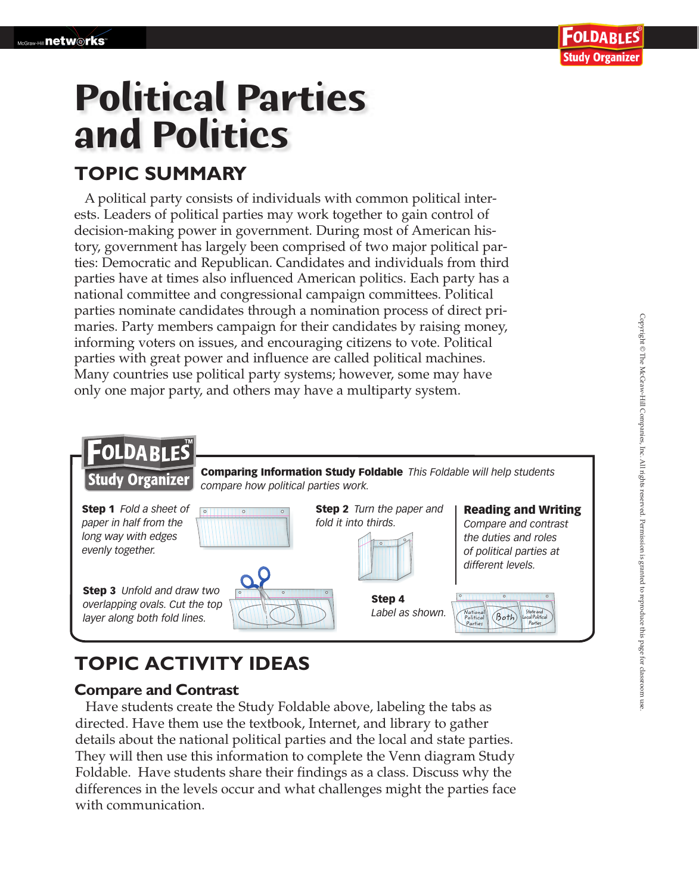# **Political Parties and Politics**

### **TOPIC SUMMARY**

A political party consists of individuals with common political interests. Leaders of political parties may work together to gain control of decision-making power in government. During most of American history, government has largely been comprised of two major political parties: Democratic and Republican. Candidates and individuals from third parties have at times also influenced American politics. Each party has a national committee and congressional campaign committees. Political parties nominate candidates through a nomination process of direct primaries. Party members campaign for their candidates by raising money, informing voters on issues, and encouraging citizens to vote. Political parties with great power and influence are called political machines. Many countries use political party systems; however, some may have only one major party, and others may have a multiparty system.



## **TOPIC ACTIVITY IDEAS**

#### **Compare and Contrast**

 Have students create the Study Foldable above, labeling the tabs as directed. Have them use the textbook, Internet, and library to gather details about the national political parties and the local and state parties. They will then use this information to complete the Venn diagram Study Foldable. Have students share their findings as a class. Discuss why the differences in the levels occur and what challenges might the parties face with communication.